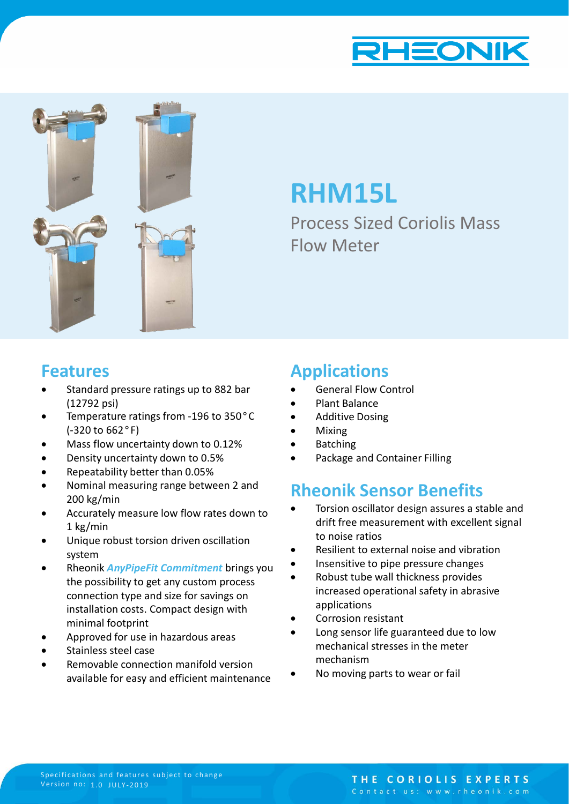



# **RHM15L**

Process Sized Coriolis Mass Flow Meter

### **Features**

- Standard pressure ratings up to 882 bar (12792 psi)
- Temperature ratings from -196 to 350°C (-320 to 662°F)
- Mass flow uncertainty down to 0.12%
- Density uncertainty down to 0.5%
- Repeatability better than 0.05%
- Nominal measuring range between 2 and 200 kg/min
- Accurately measure low flow rates down to 1 kg/min
- Unique robust torsion driven oscillation system
- Rheonik *AnyPipeFit Commitment* brings you the possibility to get any custom process connection type and size for savings on installation costs. Compact design with minimal footprint
- Approved for use in hazardous areas
- Stainless steel case
- Removable connection manifold version available for easy and efficient maintenance

### **Applications**

- General Flow Control
- Plant Balance
- Additive Dosing
- Mixing
- **Batching**
- Package and Container Filling

### **Rheonik Sensor Benefits**

- Torsion oscillator design assures a stable and drift free measurement with excellent signal to noise ratios
- Resilient to external noise and vibration
- Insensitive to pipe pressure changes
- Robust tube wall thickness provides increased operational safety in abrasive applications
- Corrosion resistant
- Long sensor life guaranteed due to low mechanical stresses in the meter mechanism
- No moving parts to wear or fail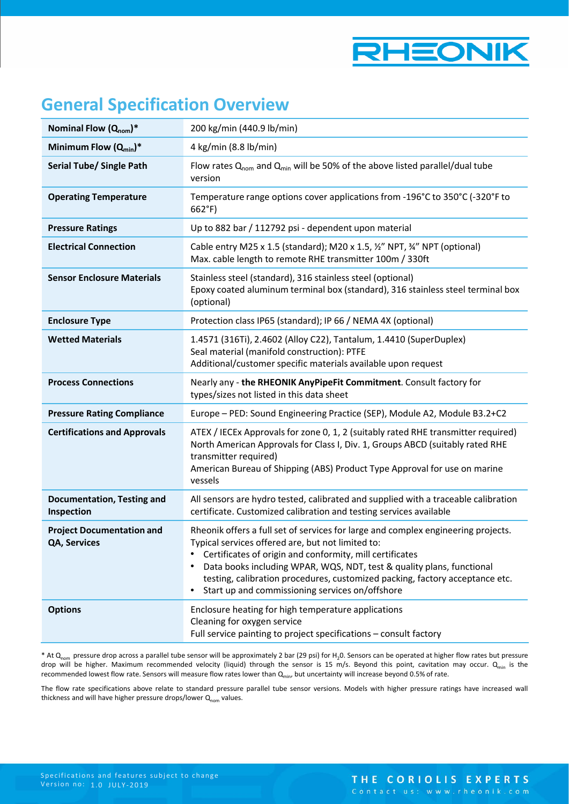

## **General Specification Overview**

| Nominal Flow $(Q_{nom})^*$                       | 200 kg/min (440.9 lb/min)                                                                                                                                                                                                                                                                                                                                                                                           |
|--------------------------------------------------|---------------------------------------------------------------------------------------------------------------------------------------------------------------------------------------------------------------------------------------------------------------------------------------------------------------------------------------------------------------------------------------------------------------------|
| Minimum Flow $(Q_{min})^*$                       | 4 kg/min (8.8 lb/min)                                                                                                                                                                                                                                                                                                                                                                                               |
| <b>Serial Tube/ Single Path</b>                  | Flow rates $Q_{nom}$ and $Q_{min}$ will be 50% of the above listed parallel/dual tube<br>version                                                                                                                                                                                                                                                                                                                    |
| <b>Operating Temperature</b>                     | Temperature range options cover applications from -196°C to 350°C (-320°F to<br>$662^{\circ}F$                                                                                                                                                                                                                                                                                                                      |
| <b>Pressure Ratings</b>                          | Up to 882 bar / 112792 psi - dependent upon material                                                                                                                                                                                                                                                                                                                                                                |
| <b>Electrical Connection</b>                     | Cable entry M25 x 1.5 (standard); M20 x 1.5, 1/2" NPT, 3/4" NPT (optional)<br>Max. cable length to remote RHE transmitter 100m / 330ft                                                                                                                                                                                                                                                                              |
| <b>Sensor Enclosure Materials</b>                | Stainless steel (standard), 316 stainless steel (optional)<br>Epoxy coated aluminum terminal box (standard), 316 stainless steel terminal box<br>(optional)                                                                                                                                                                                                                                                         |
| <b>Enclosure Type</b>                            | Protection class IP65 (standard); IP 66 / NEMA 4X (optional)                                                                                                                                                                                                                                                                                                                                                        |
| <b>Wetted Materials</b>                          | 1.4571 (316Ti), 2.4602 (Alloy C22), Tantalum, 1.4410 (SuperDuplex)<br>Seal material (manifold construction): PTFE<br>Additional/customer specific materials available upon request                                                                                                                                                                                                                                  |
| <b>Process Connections</b>                       | Nearly any - the RHEONIK AnyPipeFit Commitment. Consult factory for<br>types/sizes not listed in this data sheet                                                                                                                                                                                                                                                                                                    |
| <b>Pressure Rating Compliance</b>                | Europe - PED: Sound Engineering Practice (SEP), Module A2, Module B3.2+C2                                                                                                                                                                                                                                                                                                                                           |
| <b>Certifications and Approvals</b>              | ATEX / IECEx Approvals for zone 0, 1, 2 (suitably rated RHE transmitter required)<br>North American Approvals for Class I, Div. 1, Groups ABCD (suitably rated RHE<br>transmitter required)<br>American Bureau of Shipping (ABS) Product Type Approval for use on marine<br>vessels                                                                                                                                 |
| <b>Documentation, Testing and</b><br>Inspection  | All sensors are hydro tested, calibrated and supplied with a traceable calibration<br>certificate. Customized calibration and testing services available                                                                                                                                                                                                                                                            |
| <b>Project Documentation and</b><br>QA, Services | Rheonik offers a full set of services for large and complex engineering projects.<br>Typical services offered are, but not limited to:<br>Certificates of origin and conformity, mill certificates<br>٠<br>Data books including WPAR, WQS, NDT, test & quality plans, functional<br>testing, calibration procedures, customized packing, factory acceptance etc.<br>Start up and commissioning services on/offshore |
| <b>Options</b>                                   | Enclosure heating for high temperature applications<br>Cleaning for oxygen service<br>Full service painting to project specifications - consult factory                                                                                                                                                                                                                                                             |

\* At Q<sub>nom</sub> pressure drop across a parallel tube sensor will be approximately 2 bar (29 psi) for H<sub>2</sub>0. Sensors can be operated at higher flow rates but pressure drop will be higher. Maximum recommended velocity (liquid) through the sensor is 15 m/s. Beyond this point, cavitation may occur. Q<sub>min</sub> is the recommended lowest flow rate. Sensors will measure flow rates lower than  $Q_{min}$ , but uncertainty will increase beyond 0.5% of rate.

The flow rate specifications above relate to standard pressure parallel tube sensor versions. Models with higher pressure ratings have increased wall thickness and will have higher pressure drops/lower  $Q_{nom}$  values.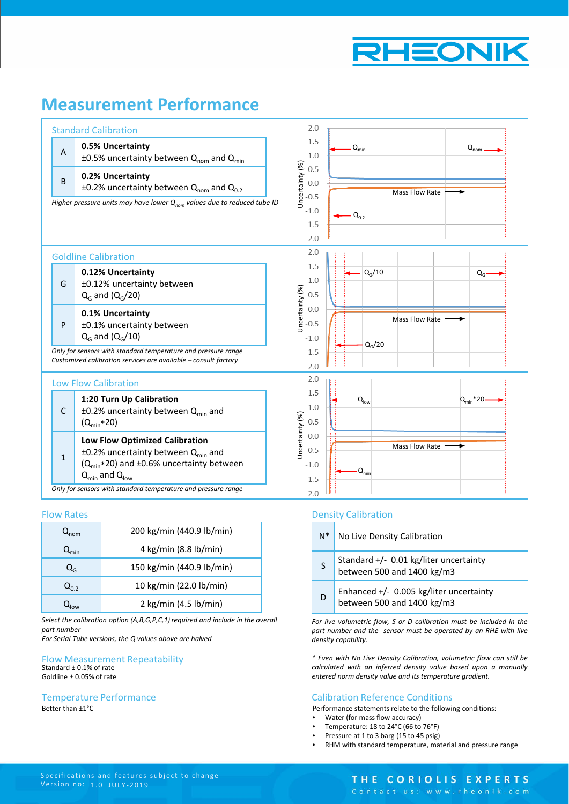

### **Measurement Performance**

| <b>Standard Calibration</b>                                                  |                                                                                                                                                     | 2.0                                                  |                                                 |
|------------------------------------------------------------------------------|-----------------------------------------------------------------------------------------------------------------------------------------------------|------------------------------------------------------|-------------------------------------------------|
| 0.5% Uncertainty<br>$\overline{A}$                                           | $\pm 0.5$ % uncertainty between Q <sub>nom</sub> and Q <sub>min</sub>                                                                               | 1.5<br>1.0                                           | $Q_{\text{min}}$<br>$\mathsf{Q}_{\mathsf{nom}}$ |
| 0.2% Uncertainty<br>B                                                        | $\pm$ 0.2% uncertainty between Q <sub>nom</sub> and Q <sub>0.2</sub>                                                                                | Uncertainty (%)<br>0.5<br>0.0<br>$-0.5$              | <b>Mass Flow Rate</b>                           |
|                                                                              | Higher pressure units may have lower $Q_{nom}$ values due to reduced tube ID                                                                        | $-1.0$<br>$-1.5$<br>$-2.0$                           | $Q_{0.2}$                                       |
| <b>Goldline Calibration</b>                                                  |                                                                                                                                                     | 2.0                                                  |                                                 |
| 0.12% Uncertainty<br>±0.12% uncertainty between<br>G<br>$Q_G$ and $(Q_G/20)$ |                                                                                                                                                     | 1.5<br>1.0<br>0.5                                    | $Q_G/10$<br>$Q_{G}$                             |
| 0.1% Uncertainty<br>±0.1% uncertainty between<br>P<br>$QG$ and $(QG/10)$     |                                                                                                                                                     | Uncertainty (%)<br>0.0<br>0.5<br>$-1.0$              | Mass Flow Rate<br>Q <sub>G</sub> /20            |
|                                                                              | Only for sensors with standard temperature and pressure range<br>Customized calibration services are available - consult factory                    | $-1.5$<br>$-2.0$                                     |                                                 |
| <b>Low Flow Calibration</b>                                                  |                                                                                                                                                     | 2.0                                                  |                                                 |
| 1:20 Turn Up Calibration<br>$\mathsf{C}$<br>$(Q_{\text{min}}*20)$            | $\pm$ 0.2% uncertainty between Q <sub>min</sub> and                                                                                                 | 1.5<br>1.0<br>0.5                                    | $-Q_{\text{low}}$<br>$Q_{\text{min}}$ *20       |
| $\mathbf{1}$<br>$Q_{\text{min}}$ and $Q_{\text{low}}$                        | <b>Low Flow Optimized Calibration</b><br>$\pm$ 0.2% uncertainty between Q <sub>min</sub> and<br>$(Q_{\text{min}}*20)$ and ±0.6% uncertainty between | Uncertainty (%)<br>0.0<br>$-0.5$<br>$-1.0$<br>$-1.5$ | <b>Mass Flow Rate</b><br>$Q_{\text{min}}$       |
|                                                                              | Only for sensors with standard temperature and pressure range                                                                                       | $-2.0$                                               |                                                 |

#### Flow Rates

| $\mathcal{L}_{\text{nom}}$  | 200 kg/min (440.9 lb/min) |
|-----------------------------|---------------------------|
| $\mathsf{Q}_{\mathsf{min}}$ | 4 kg/min (8.8 lb/min)     |
| Q <sub>G</sub>              | 150 kg/min (440.9 lb/min) |
| Q <sub>n 2</sub>            | 10 kg/min (22.0 lb/min)   |
|                             | 2 kg/min (4.5 lb/min)     |

*Select the calibration option (A,B,G,P,C,1) required and include in the overall part number*

*For Serial Tube versions, the Q values above are halved*

#### Flow Measurement Repeatability Standard ± 0.1% of rate Goldline ± 0.05% of rate

#### Temperature Performance

Better than ±1°C

#### Density Calibration

| $N^*$ | No Live Density Calibration                                           |
|-------|-----------------------------------------------------------------------|
| S     | Standard +/- 0.01 kg/liter uncertainty<br>between 500 and 1400 kg/m3  |
| D     | Enhanced +/- 0.005 kg/liter uncertainty<br>between 500 and 1400 kg/m3 |

*For live volumetric flow, S or D calibration must be included in the part number and the sensor must be operated by an RHE with live density capability.*

*\* Even with No Live Density Calibration, volumetric flow can still be calculated with an inferred density value based upon a manually entered norm density value and its temperature gradient.*

#### Calibration Reference Conditions

Performance statements relate to the following conditions:

- Water (for mass flow accuracy)
- Temperature: 18 to 24°C (66 to 76°F)
- Pressure at 1 to 3 barg (15 to 45 psig)
- RHM with standard temperature, material and pressure range

### THE CORIOLIS EXPERTS

Contact us: www.rheonik.com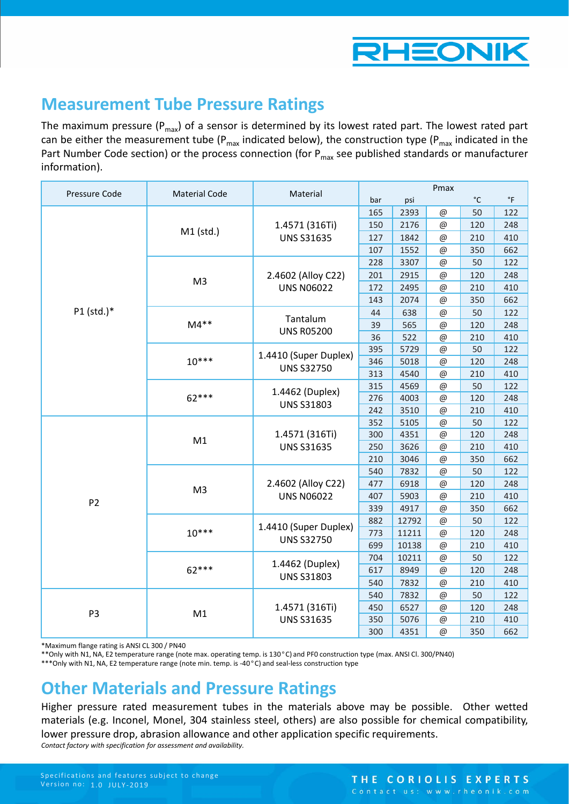

### **Measurement Tube Pressure Ratings**

The maximum pressure ( $P_{max}$ ) of a sensor is determined by its lowest rated part. The lowest rated part can be either the measurement tube ( $P_{max}$  indicated below), the construction type ( $P_{max}$  indicated in the Part Number Code section) or the process connection (for  $P_{\text{max}}$  see published standards or manufacturer information).

| Pressure Code  | <b>Material Code</b> | Material              | Pmax |       |          |              |             |  |
|----------------|----------------------|-----------------------|------|-------|----------|--------------|-------------|--|
|                |                      |                       | bar  | psi   |          | $^{\circ}$ C | $\degree$ F |  |
|                |                      |                       | 165  | 2393  | $@$      | 50           | 122         |  |
|                | M1 (std.)            | 1.4571 (316Ti)        | 150  | 2176  | @        | 120          | 248         |  |
|                |                      | <b>UNS S31635</b>     | 127  | 1842  | @        | 210          | 410         |  |
|                |                      |                       | 107  | 1552  | @        | 350          | 662         |  |
|                |                      |                       | 228  | 3307  | @        | 50           | 122         |  |
|                |                      | 2.4602 (Alloy C22)    | 201  | 2915  | @        | 120          | 248         |  |
|                | M <sub>3</sub>       | <b>UNS N06022</b>     | 172  | 2495  | @        | 210          | 410         |  |
|                |                      |                       | 143  | 2074  | @        | 350          | 662         |  |
| P1 (std.)*     |                      | Tantalum              | 44   | 638   | $@$      | 50           | 122         |  |
|                | $M4**$               | <b>UNS R05200</b>     | 39   | 565   | $@$      | 120          | 248         |  |
|                |                      |                       | 36   | 522   | $@$      | 210          | 410         |  |
|                |                      | 1.4410 (Super Duplex) | 395  | 5729  | @        | 50           | 122         |  |
|                | $10***$              | <b>UNS S32750</b>     | 346  | 5018  | @        | 120          | 248         |  |
|                |                      |                       | 313  | 4540  | $@$      | 210          | 410         |  |
|                |                      | 1.4462 (Duplex)       | 315  | 4569  | $@$      | 50           | 122         |  |
|                | $62***$              | <b>UNS S31803</b>     | 276  | 4003  | $@$      | 120          | 248         |  |
|                |                      |                       | 242  | 3510  | $@$      | 210          | 410         |  |
|                |                      |                       | 352  | 5105  | @        | 50           | 122         |  |
|                | M1                   | 1.4571 (316Ti)        | 300  | 4351  | $@$      | 120          | 248         |  |
|                |                      | <b>UNS S31635</b>     | 250  | 3626  | $@$      | 210          | 410         |  |
|                |                      |                       | 210  | 3046  | $@$      | 350          | 662         |  |
|                |                      |                       | 540  | 7832  | @        | 50           | 122         |  |
|                | M <sub>3</sub>       | 2.4602 (Alloy C22)    | 477  | 6918  | @        | 120          | 248         |  |
| P <sub>2</sub> |                      | <b>UNS N06022</b>     | 407  | 5903  | @        | 210          | 410         |  |
|                |                      |                       | 339  | 4917  | @        | 350          | 662         |  |
|                |                      | 1.4410 (Super Duplex) | 882  | 12792 | @        | 50           | 122         |  |
|                | $10***$              | <b>UNS S32750</b>     | 773  | 11211 | $@$      | 120          | 248         |  |
|                |                      |                       | 699  | 10138 | @        | 210          | 410         |  |
|                |                      | 1.4462 (Duplex)       | 704  | 10211 | @        | 50           | 122         |  |
|                | $62***$              | <b>UNS S31803</b>     | 617  | 8949  | @        | 120          | 248         |  |
|                |                      |                       | 540  | 7832  | @        | 210          | 410         |  |
|                |                      |                       | 540  | 7832  | @        | 50           | 122         |  |
| P <sub>3</sub> | M1                   | 1.4571 (316Ti)        | 450  | 6527  | $@$      | 120          | 248         |  |
|                |                      | <b>UNS S31635</b>     | 350  | 5076  | @        | 210          | 410         |  |
|                |                      |                       | 300  | 4351  | $\omega$ | 350          | 662         |  |

\*Maximum flange rating is ANSI CL 300 / PN40

\*\*Only with N1, NA, E2 temperature range (note max. operating temp. is 130°C) and PF0 construction type (max. ANSI Cl. 300/PN40)

\*\*\*Only with N1, NA, E2 temperature range (note min. temp. is -40°C) and seal-less construction type

### **Other Materials and Pressure Ratings**

Higher pressure rated measurement tubes in the materials above may be possible. Other wetted materials (e.g. Inconel, Monel, 304 stainless steel, others) are also possible for chemical compatibility, lower pressure drop, abrasion allowance and other application specific requirements. *Contact factory with specification for assessment and availability.*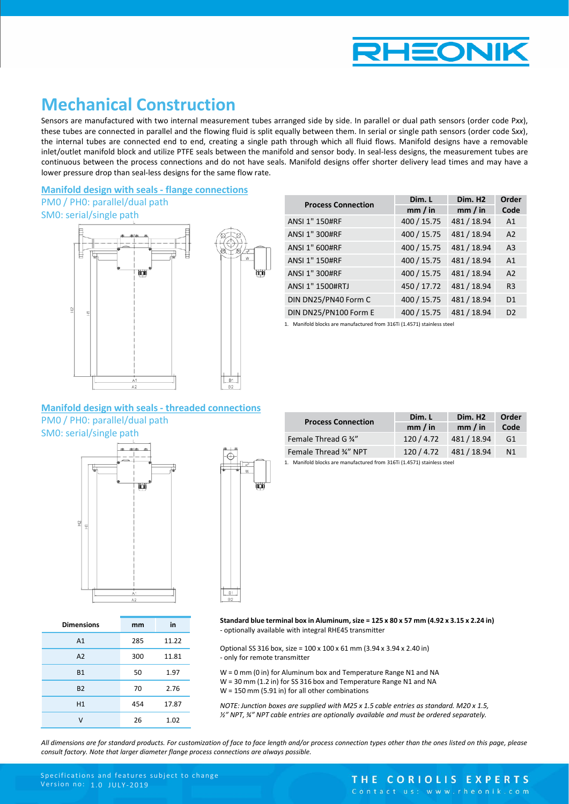

### **Mechanical Construction**

Sensors are manufactured with two internal measurement tubes arranged side by side. In parallel or dual path sensors (order code P*xx*), these tubes are connected in parallel and the flowing fluid is split equally between them. In serial or single path sensors (order code S*xx*), the internal tubes are connected end to end, creating a single path through which all fluid flows. Manifold designs have a removable inlet/outlet manifold block and utilize PTFE seals between the manifold and sensor body. In seal-less designs, the measurement tubes are continuous between the process connections and do not have seals. Manifold designs offer shorter delivery lead times and may have a lower pressure drop than seal-less designs for the same flow rate.

#### **Manifold design with seals - flange connections** PM0 / PH0: parallel/dual path

#### SM0: serial/single path



| <b>Process Connection</b> | Dim. L      | Dim. H <sub>2</sub> | Order          |
|---------------------------|-------------|---------------------|----------------|
|                           | mm / in     | mm / in             | Code           |
| ANSI 1" 150#RF            | 400 / 15.75 | 481 / 18.94         | A <sub>1</sub> |
| ANSI 1" 300#RF            | 400 / 15.75 | 481 / 18.94         | A <sub>2</sub> |
| ANSI 1" 600#RF            | 400 / 15.75 | 481 / 18.94         | A <sub>3</sub> |
| ANSI 1" 150#RF            | 400 / 15.75 | 481 / 18.94         | A <sub>1</sub> |
| ANSI 1" 300#RF            | 400 / 15.75 | 481 / 18.94         | A <sub>2</sub> |
| ANSI 1" 1500#RTJ          | 450 / 17.72 | 481 / 18.94         | R <sub>3</sub> |
| DIN DN25/PN40 Form C      | 400 / 15.75 | 481 / 18.94         | D <sub>1</sub> |
| DIN DN25/PN100 Form E     | 400 / 15.75 | 481 / 18.94         | D <sub>2</sub> |

1. Manifold blocks are manufactured from 316Ti (1.4571) stainless steel

#### **Manifold design with seals - threaded connections** PM0 / PH0: parallel/dual path

SM0: serial/single path



| <b>Dimensions</b> | mm  | in    |
|-------------------|-----|-------|
| A1                | 285 | 11.22 |
| A2                | 300 | 11.81 |
| <b>B1</b>         | 50  | 1.97  |
| <b>B2</b>         | 70  | 2.76  |
| H1                | 454 | 17.87 |
|                   | 26  | 1.02  |



| <b>Process Connection</b> | Dim. L   | Dim. H <sub>2</sub> | Order          |  |
|---------------------------|----------|---------------------|----------------|--|
|                           | mm / in  | mm / in             | Code           |  |
| Female Thread G 34"       | 120/4.72 | 481/18.94           | G1             |  |
| Female Thread 34" NPT     | 120/4.72 | 481 / 18.94         | N <sub>1</sub> |  |

1. Manifold blocks are manufactured from 316Ti (1.4571) stainless steel

**Standard blue terminal box in Aluminum, size = 125 x 80 x 57 mm (4.92 x 3.15 x 2.24 in)** - optionally available with integral RHE45 transmitter

Optional SS 316 box, size = 100 x 100 x 61 mm (3.94 x 3.94 x 2.40 in) - only for remote transmitter

W = 0 mm (0 in) for Aluminum box and Temperature Range N1 and NA W = 30 mm (1.2 in) for SS 316 box and Temperature Range N1 and NA W = 150 mm (5.91 in) for all other combinations

*NOTE: Junction boxes are supplied with M25 x 1.5 cable entries as standard. M20 x 1.5, ½" NPT, ¾" NPT cable entries are optionally available and must be ordered separately.*

All dimensions are for standard products. For customization of face to face lenath and/or process connection types other than the ones listed on this page, please *consult factory. Note that larger diameter flange process connections are always possible.*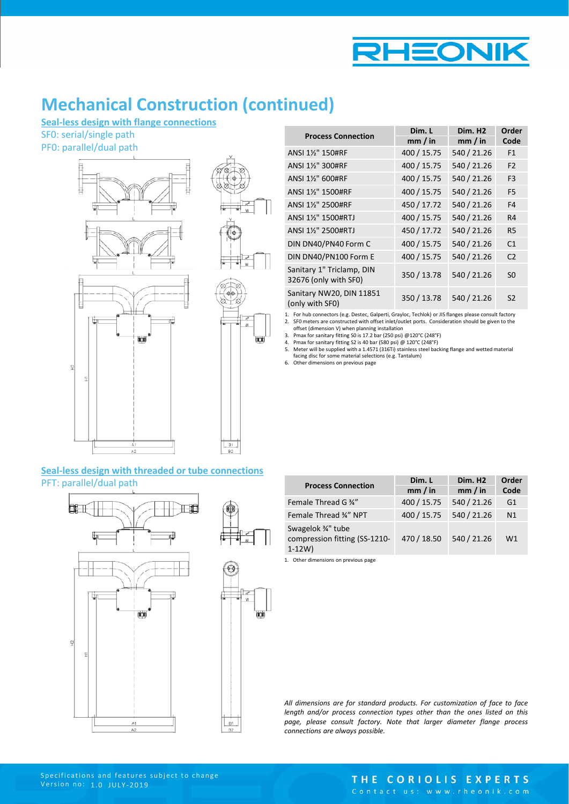

### **Mechanical Construction (continued)**

**Seal-less design with flange connections**

SF0: serial/single path

PF0: parallel/dual path



| <b>Process Connection</b>                          | Dim. L      | Dim. H <sub>2</sub> | Order          |
|----------------------------------------------------|-------------|---------------------|----------------|
|                                                    | mm / in     | mm / in             | Code           |
| ANSI 11/2" 150#RF                                  | 400 / 15.75 | 540 / 21.26         | F <sub>1</sub> |
| ANSI 1½" 300#RF                                    | 400 / 15.75 | 540 / 21.26         | F <sub>2</sub> |
| ANSI 1½" 600#RF                                    | 400 / 15.75 | 540 / 21.26         | F <sub>3</sub> |
| ANSI 11/2" 1500#RF                                 | 400 / 15.75 | 540 / 21.26         | F <sub>5</sub> |
| ANSI 11/2" 2500#RF                                 | 450 / 17.72 | 540 / 21.26         | F4             |
| ANSI 11/2" 1500#RTJ                                | 400 / 15.75 | 540 / 21.26         | R4             |
| ANSI 1½" 2500#RTJ                                  | 450 / 17.72 | 540 / 21.26         | R5             |
| DIN DN40/PN40 Form C                               | 400 / 15.75 | 540 / 21.26         | C <sub>1</sub> |
| DIN DN40/PN100 Form E                              | 400 / 15.75 | 540 / 21.26         | C <sub>2</sub> |
| Sanitary 1" Triclamp, DIN<br>32676 (only with SF0) | 350 / 13.78 | 540 / 21.26         | S <sub>0</sub> |
| Sanitary NW20, DIN 11851<br>(only with SF0)        | 350 / 13.78 | 540 / 21.26         | S <sub>2</sub> |
|                                                    |             |                     |                |

1. For hub connectors (e.g. Destec, Galperti, Grayloc, Techlok) or JIS flanges please consult factory 2. SF0 meters are constructed with offset inlet/outlet ports. Consideration should be given to the

offset (dimension V) when planning installation 3. Pmax for sanitary fitting S0 is 17.2 bar (250 psi) @120°C (248°F)

4. Pmax for sanitary fitting S2 is 40 bar (580 psi) @ 120°C (248°F) 5. Meter will be supplied with a 1.4571 (316Ti) stainless steel backing flange and wetted material facing disc for some material selections (e.g. Tantalum)

6. Other dimensions on previous page

₩¥

#### **Seal-less design with threaded or tube connections** PFT: parallel/dual path



| <b>Process Connection</b>                                        | Dim. L      | Dim. H <sub>2</sub> | Order |
|------------------------------------------------------------------|-------------|---------------------|-------|
|                                                                  | mm / in     | mm / in             | Code  |
| Female Thread G 34"                                              | 400 / 15.75 | 540 / 21.26         | G1    |
| Female Thread 34" NPT                                            | 400 / 15.75 | 540 / 21.26         | N1    |
| Swagelok 3/4" tube<br>compression fitting (SS-1210-<br>$1 - 12W$ | 470 / 18.50 | 540 / 21.26         | W1    |

1. Other dimensions on previous page

*All dimensions are for standard products. For customization of face to face length and/or process connection types other than the ones listed on this page, please consult factory. Note that larger diameter flange process connections are always possible.*

#### THE CORIOLIS EXPERTS Contact us: www.rheonik.com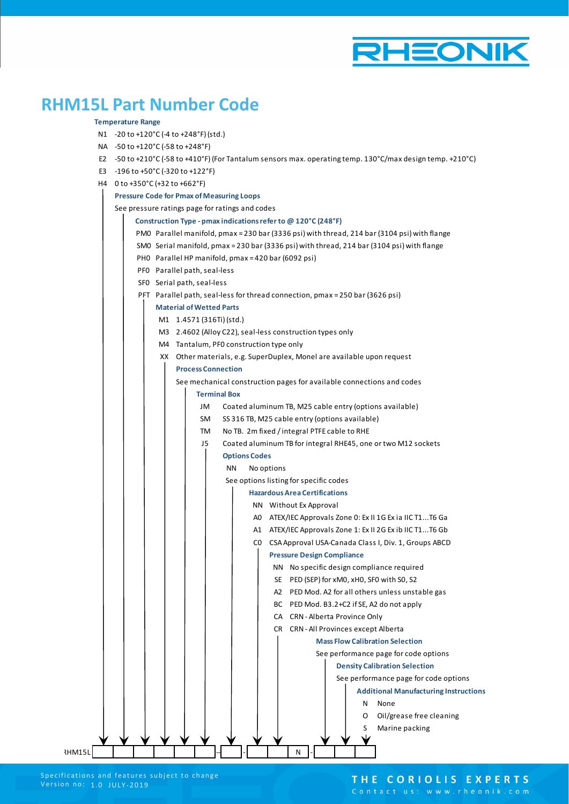

## **RHM15L Part Number Code**

#### **Temperature Range**

- N1 -20 to +120°C (-4 to +248°F) (std.)
- NA -50 to +120°C (-58 to +248°F)
- E2 -50 to +210°C (-58 to +410°F) (For Tantalum sensors max. operating temp. 130°C/max design temp. +210°C)
- E3 -196 to +50°C (-320 to +122°F)
- H4 0 to +350°C (+32 to +662°F)

#### $\mathbf{I}$ **Pressure Code for Pmax of Measuring Loops**

|        |  |  |                            |    | See pressure ratings page for ratings and codes               |                      |                                                |                                   |  |  |   |                                                                                              |
|--------|--|--|----------------------------|----|---------------------------------------------------------------|----------------------|------------------------------------------------|-----------------------------------|--|--|---|----------------------------------------------------------------------------------------------|
|        |  |  |                            |    | Construction Type - pmax indications refer to @ 120°C (248°F) |                      |                                                |                                   |  |  |   |                                                                                              |
|        |  |  |                            |    |                                                               |                      |                                                |                                   |  |  |   | PM0 Parallel manifold, pmax = 230 bar (3336 psi) with thread, 214 bar (3104 psi) with flange |
|        |  |  |                            |    |                                                               |                      |                                                |                                   |  |  |   | SM0 Serial manifold, pmax = 230 bar (3336 psi) with thread, 214 bar (3104 psi) with flange   |
|        |  |  |                            |    | PHO Parallel HP manifold, pmax = 420 bar (6092 psi)           |                      |                                                |                                   |  |  |   |                                                                                              |
|        |  |  |                            |    | PFO Parallel path, seal-less                                  |                      |                                                |                                   |  |  |   |                                                                                              |
|        |  |  | SFO Serial path, seal-less |    |                                                               |                      |                                                |                                   |  |  |   |                                                                                              |
|        |  |  |                            |    |                                                               |                      |                                                |                                   |  |  |   | PFT Parallel path, seal-less for thread connection, pmax = 250 bar (3626 psi)                |
|        |  |  |                            |    | <b>Material of Wetted Parts</b>                               |                      |                                                |                                   |  |  |   |                                                                                              |
|        |  |  |                            |    | M1 1.4571 (316Ti) (std.)                                      |                      |                                                |                                   |  |  |   |                                                                                              |
|        |  |  |                            |    | M3 2.4602 (Alloy C22), seal-less construction types only      |                      |                                                |                                   |  |  |   |                                                                                              |
|        |  |  |                            |    | M4 Tantalum, PFO construction type only                       |                      |                                                |                                   |  |  |   |                                                                                              |
|        |  |  |                            |    |                                                               |                      |                                                |                                   |  |  |   | XX Other materials, e.g. SuperDuplex, Monel are available upon request                       |
|        |  |  |                            |    | <b>Process Connection</b>                                     |                      |                                                |                                   |  |  |   |                                                                                              |
|        |  |  |                            |    |                                                               |                      |                                                |                                   |  |  |   | See mechanical construction pages for available connections and codes                        |
|        |  |  |                            |    | <b>Terminal Box</b>                                           |                      |                                                |                                   |  |  |   |                                                                                              |
|        |  |  |                            | JM |                                                               |                      |                                                |                                   |  |  |   | Coated aluminum TB, M25 cable entry (options available)                                      |
|        |  |  |                            | SM |                                                               |                      | SS 316 TB, M25 cable entry (options available) |                                   |  |  |   |                                                                                              |
|        |  |  |                            | TM |                                                               |                      | No TB. 2m fixed / integral PTFE cable to RHE   |                                   |  |  |   |                                                                                              |
|        |  |  |                            | J5 |                                                               |                      |                                                |                                   |  |  |   | Coated aluminum TB for integral RHE45, one or two M12 sockets                                |
|        |  |  |                            |    |                                                               | <b>Options Codes</b> |                                                |                                   |  |  |   |                                                                                              |
|        |  |  |                            |    | ΝN                                                            |                      | No options                                     |                                   |  |  |   |                                                                                              |
|        |  |  |                            |    |                                                               |                      | See options listing for specific codes         |                                   |  |  |   |                                                                                              |
|        |  |  |                            |    |                                                               |                      | <b>Hazardous Area Certifications</b>           |                                   |  |  |   |                                                                                              |
|        |  |  |                            |    |                                                               |                      | NN Without Ex Approval                         |                                   |  |  |   |                                                                                              |
|        |  |  |                            |    |                                                               |                      |                                                |                                   |  |  |   | AO ATEX/IEC Approvals Zone 0: Ex II 1G Ex ia IIC T1T6 Ga                                     |
|        |  |  |                            |    |                                                               |                      |                                                |                                   |  |  |   | A1 ATEX/IEC Approvals Zone 1: Ex II 2G Ex ib IIC T1T6 Gb                                     |
|        |  |  |                            |    |                                                               |                      |                                                |                                   |  |  |   | CO CSA Approval USA-Canada Class I, Div. 1, Groups ABCD                                      |
|        |  |  |                            |    |                                                               |                      |                                                | <b>Pressure Design Compliance</b> |  |  |   |                                                                                              |
|        |  |  |                            |    |                                                               |                      |                                                |                                   |  |  |   | NN No specific design compliance required                                                    |
|        |  |  |                            |    |                                                               |                      |                                                |                                   |  |  |   | SE PED (SEP) for xM0, xH0, SF0 with S0, S2                                                   |
|        |  |  |                            |    |                                                               |                      |                                                |                                   |  |  |   | A2 PED Mod. A2 for all others unless unstable gas                                            |
|        |  |  |                            |    |                                                               |                      |                                                |                                   |  |  |   | BC PED Mod. B3.2+C2 if SE, A2 do not apply                                                   |
|        |  |  |                            |    |                                                               |                      |                                                | CA CRN-Alberta Province Only      |  |  |   |                                                                                              |
|        |  |  |                            |    |                                                               |                      |                                                |                                   |  |  |   | CR CRN-All Provinces except Alberta                                                          |
|        |  |  |                            |    |                                                               |                      |                                                |                                   |  |  |   | <b>Mass Flow Calibration Selection</b>                                                       |
|        |  |  |                            |    |                                                               |                      |                                                |                                   |  |  |   | See performance page for code options                                                        |
|        |  |  |                            |    |                                                               |                      |                                                |                                   |  |  |   | <b>Density Calibration Selection</b>                                                         |
|        |  |  |                            |    |                                                               |                      |                                                |                                   |  |  |   | See performance page for code options                                                        |
|        |  |  |                            |    |                                                               |                      |                                                |                                   |  |  |   | <b>Additional Manufacturing Instructions</b>                                                 |
|        |  |  |                            |    |                                                               |                      |                                                |                                   |  |  | N | None                                                                                         |
|        |  |  |                            |    |                                                               |                      |                                                |                                   |  |  | O | Oil/grease free cleaning                                                                     |
|        |  |  |                            |    |                                                               |                      |                                                |                                   |  |  | S | Marine packing                                                                               |
|        |  |  |                            |    |                                                               |                      |                                                |                                   |  |  |   |                                                                                              |
| RHM15L |  |  |                            |    |                                                               |                      |                                                | N                                 |  |  |   |                                                                                              |

#### THE CORIOLIS EXPERTS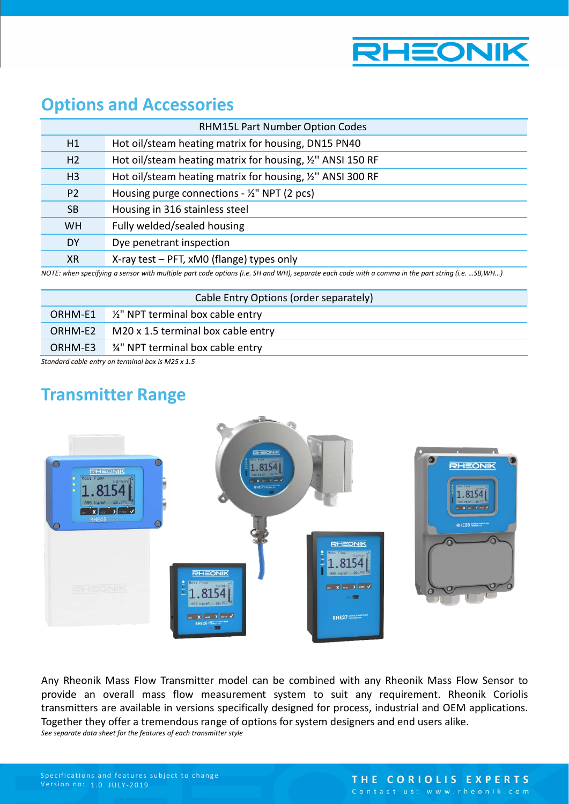

### **Options and Accessories**

|                | <b>RHM15L Part Number Option Codes</b>                                                                                                                |
|----------------|-------------------------------------------------------------------------------------------------------------------------------------------------------|
| H1             | Hot oil/steam heating matrix for housing, DN15 PN40                                                                                                   |
| H <sub>2</sub> | Hot oil/steam heating matrix for housing, 1/2" ANSI 150 RF                                                                                            |
| H <sub>3</sub> | Hot oil/steam heating matrix for housing, %" ANSI 300 RF                                                                                              |
| P <sub>2</sub> | Housing purge connections - $\frac{1}{2}$ " NPT (2 pcs)                                                                                               |
| <b>SB</b>      | Housing in 316 stainless steel                                                                                                                        |
| <b>WH</b>      | Fully welded/sealed housing                                                                                                                           |
| DY             | Dye penetrant inspection                                                                                                                              |
| <b>XR</b>      | X-ray test - PFT, xMO (flange) types only                                                                                                             |
|                | NOTE: when specifying a sensor with multiple part code ontions (i.e. SH and WH) senarate each code with a comma in the part string (i.e.<br>SR IN/H ) |

*NOTE: when specifying a sensor with multiple part code options (i.e. SH and WH), separate each code with a comma in the part string (i.e. …SB,WH…)*

| Cable Entry Options (order separately)                                                 |                                                      |
|----------------------------------------------------------------------------------------|------------------------------------------------------|
|                                                                                        | ORHM-E1 $\frac{1}{2}$ " NPT terminal box cable entry |
| ORHM-E2                                                                                | M20 x 1.5 terminal box cable entry                   |
| ORHM-E3                                                                                | 3/4" NPT terminal box cable entry                    |
| $C$ the dependent of the continuous of the second second $\sim 0.00$ $\Gamma \sim 4.5$ |                                                      |

*Standard cable entry on terminal box is M25 x 1.5* 

## **Transmitter Range**



Any Rheonik Mass Flow Transmitter model can be combined with any Rheonik Mass Flow Sensor to provide an overall mass flow measurement system to suit any requirement. Rheonik Coriolis transmitters are available in versions specifically designed for process, industrial and OEM applications. Together they offer a tremendous range of options for system designers and end users alike. *See separate data sheet for the features of each transmitter style*